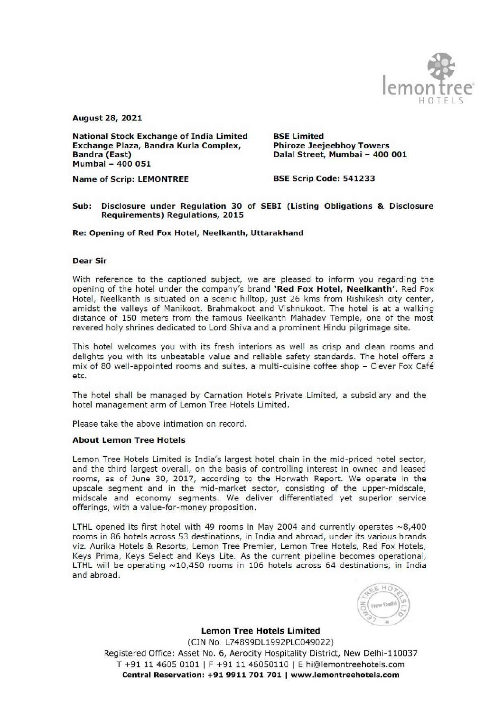

August 28, 2021

National Stock Exchange of India Limited BSE Limited Exchange Plaza, Bandra Kurla Complex, Phiroze Jeejeebhoy Towers Bandra (East) Dalal Street, Mumbai — 400 001 Mumbai - 400 051

# Name of Scrip: LEMONTREE BSE Scrip Code: 541233

#### Sub: Disclosure under Regulation 30 of SEBI (Listing Obligations & Disclosure Requirements) Regulations, 2015

Re: Opening of Red Fox Hotel, Neelkanth, Uttarakhand

## Dear Sir

With reference to the captioned subject, we are pleased to inform you regarding the opening of the hotel under the company's brand 'Red Fox Hotel, Neelkanth'. Red Fox Hotel, Neelkanth is situated on a scenic hilltop, just 26 kms from Rishikesh city center, amidst the valleys of Manikoot, Brahmakoot and Vishnukoot. The hotel is at a walking distance of 150 meters from the famous Neelkanth Mahadev Temple, one of the most revered holy shrines dedicated to Lord Shiva and a prominent Hindu pilgrimage site.

This hotel welcomes you with its fresh interiors as well as crisp and clean rooms and delights you with its unbeatable value and reliable safety standards. The hotel offers a mix of 80 well-appointed rooms and suites, a multi-cuisine coffee shop - Clever Fox Café etc.

The hotel shall be managed by Carnation Hotels Private Limited, a subsidiary and the hotel management arm of Lemon Tree Hotels Limited.

Please take the above intimation on record.

## About Lemon Tree Hotels

Lemon Tree Hotels Limited is India's largest hotel chain in the mid-priced hotel sector, and the third largest overall, on the basis of controlling interest in owned and leased rooms, as of June 30, 2017, according to the Horwath Report. We operate in the upscale segment and in the mid-market sector, consisting of the upper-midscale, midscale and economy segments. We deliver differentiated yet superior service offerings, with a value-for-money proposition.

LTHL opened its first hotel with 49 rooms in May 2004 and currently operates  $\sim 8,400$ rooms in 86 hotels across 53 destinations, in India and abroad, under its various brands viz. Aurika Hotels & Resorts, Lemon Tree Premier, Lemon Tree Hotels, Red Fox Hotels, Keys Prima, Keys Select and Keys Lite. As the current pipeline becomes operational, LTHL will be operating ~10,450 rooms in 106 hotels across 64 destinations, in India and abroad.



Lemon Tree Hotels Limited (CIN No. L74899DL1992PLC049022) Registered Office: Asset No. 6, Aerocity Hospitality District, New Delhi-110037 T +91 11 4605 0101 | F +91 11 46050110 | E hi@lemontreehotels.com Central Reservation: +91 9911 701 701 | www.lemontreehotels.com